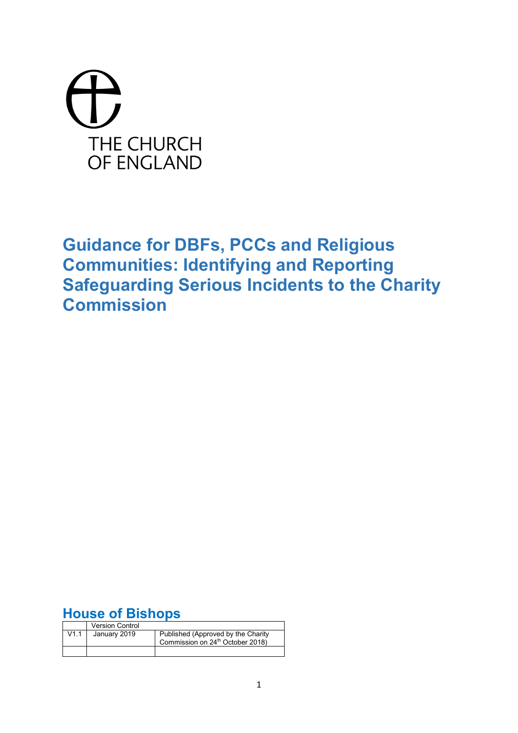# THE CHURCH OF ENGLAND

**Guidance for DBFs, PCCs and Religious Communities: Identifying and Reporting Safeguarding Serious Incidents to the Charity Commission**

# **House of Bishops**

|      | <b>Version Control</b> |                                                                                    |
|------|------------------------|------------------------------------------------------------------------------------|
| V1.1 | January 2019           | Published (Approved by the Charity<br>Commission on 24 <sup>th</sup> October 2018) |
|      |                        |                                                                                    |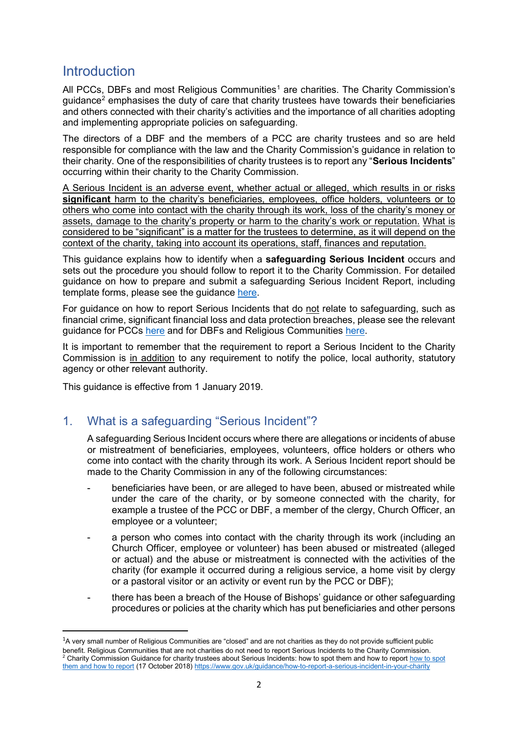# **Introduction**

All PCCs, DBFs and most Religious Communities<sup>[1](#page-1-0)</sup> are charities. The Charity Commission's guidance[2](#page-1-1) emphasises the duty of care that charity trustees have towards their beneficiaries and others connected with their charity's activities and the importance of all charities adopting and implementing appropriate policies on safeguarding.

The directors of a DBF and the members of a PCC are charity trustees and so are held responsible for compliance with the law and the Charity Commission's guidance in relation to their charity. One of the responsibilities of charity trustees is to report any "**Serious Incidents**" occurring within their charity to the Charity Commission.

A Serious Incident is an adverse event, whether actual or alleged, which results in or risks **significant** harm to the charity's beneficiaries, employees, office holders, volunteers or to others who come into contact with the charity through its work, loss of the charity's money or assets, damage to the charity's property or harm to the charity's work or reputation. What is considered to be "significant" is a matter for the trustees to determine, as it will depend on the context of the charity, taking into account its operations, staff, finances and reputation.

This guidance explains how to identify when a **safeguarding Serious Incident** occurs and sets out the procedure you should follow to report it to the Charity Commission. For detailed guidance on how to prepare and submit a safeguarding Serious Incident Report, including template forms, please see the guidance [here.](https://www.parishresources.org.uk/wp-content/uploads/SIR-Safeguarding-Practical-Guidance-FINAL-1-Jan-2019.pdf)

For guidance on how to report Serious Incidents that do not relate to safeguarding, such as financial crime, significant financial loss and data protection breaches, please see the relevant guidance for PCCs [here](https://www.parishresources.org.uk/wp-content/uploads/SIR-Guidance-PCCs-Non-Safeguarding-FINAL-1-Jan-2018.pdf) and for DBFs and Religious Communities [here.](https://www.parishresources.org.uk/wp-content/uploads/SIR-Guidance-DBFs-RCs-Non-Safeguarding-FINAL-1-Jan-2018.pdf)

It is important to remember that the requirement to report a Serious Incident to the Charity Commission is in addition to any requirement to notify the police, local authority, statutory agency or other relevant authority.

This guidance is effective from 1 January 2019.

## 1. What is a safeguarding "Serious Incident"?

A safeguarding Serious Incident occurs where there are allegations or incidents of abuse or mistreatment of beneficiaries, employees, volunteers, office holders or others who come into contact with the charity through its work. A Serious Incident report should be made to the Charity Commission in any of the following circumstances:

- beneficiaries have been, or are alleged to have been, abused or mistreated while under the care of the charity, or by someone connected with the charity, for example a trustee of the PCC or DBF, a member of the clergy, Church Officer, an employee or a volunteer;
- a person who comes into contact with the charity through its work (including an Church Officer, employee or volunteer) has been abused or mistreated (alleged or actual) and the abuse or mistreatment is connected with the activities of the charity (for example it occurred during a religious service, a home visit by clergy or a pastoral visitor or an activity or event run by the PCC or DBF);
- there has been a breach of the House of Bishops' guidance or other safeguarding procedures or policies at the charity which has put beneficiaries and other persons

<span id="page-1-1"></span><span id="page-1-0"></span> $\overline{1}$ <sup>1</sup>A very small number of Religious Communities are "closed" and are not charities as they do not provide sufficient public benefit. Religious Communities that are not charities do not need to report Serious Incidents to the Charity Commission. <sup>2</sup> Charity Commission Guidance for charity trustees about Serious Incidents: [how to spot](https://www.gov.uk/guidance/how-to-report-a-serious-incident-in-your-charity) them and how to report how to spot [them and how to report](https://www.gov.uk/guidance/how-to-report-a-serious-incident-in-your-charity) (17 October 2018[\) https://www.gov.uk/guidance/how-to-report-a-serious-incident-in-your-charity](https://www.gov.uk/guidance/how-to-report-a-serious-incident-in-your-charity)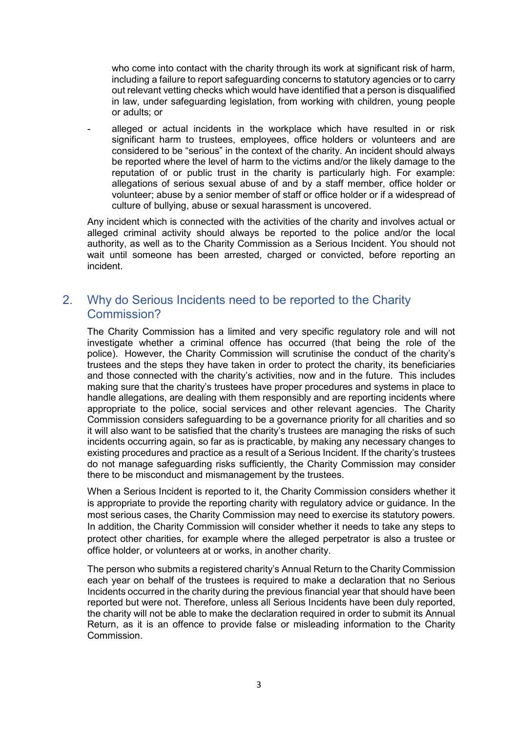who come into contact with the charity through its work at significant risk of harm, including a failure to report safeguarding concerns to statutory agencies or to carry out relevant vetting checks which would have identified that a person is disqualified in law, under safeguarding legislation, from working with children, young people or adults; or

alleged or actual incidents in the workplace which have resulted in or risk significant harm to trustees, employees, office holders or volunteers and are considered to be "serious" in the context of the charity. An incident should always be reported where the level of harm to the victims and/or the likely damage to the reputation of or public trust in the charity is particularly high. For example: allegations of serious sexual abuse of and by a staff member, office holder or volunteer; abuse by a senior member of staff or office holder or if a widespread of culture of bullying, abuse or sexual harassment is uncovered.

Any incident which is connected with the activities of the charity and involves actual or alleged criminal activity should always be reported to the police and/or the local authority, as well as to the Charity Commission as a Serious Incident. You should not wait until someone has been arrested, charged or convicted, before reporting an incident.

# 2. Why do Serious Incidents need to be reported to the Charity Commission?

The Charity Commission has a limited and very specific regulatory role and will not investigate whether a criminal offence has occurred (that being the role of the police). However, the Charity Commission will scrutinise the conduct of the charity's trustees and the steps they have taken in order to protect the charity, its beneficiaries and those connected with the charity's activities, now and in the future. This includes making sure that the charity's trustees have proper procedures and systems in place to handle allegations, are dealing with them responsibly and are reporting incidents where appropriate to the police, social services and other relevant agencies. The Charity Commission considers safeguarding to be a governance priority for all charities and so it will also want to be satisfied that the charity's trustees are managing the risks of such incidents occurring again, so far as is practicable, by making any necessary changes to existing procedures and practice as a result of a Serious Incident. If the charity's trustees do not manage safeguarding risks sufficiently, the Charity Commission may consider there to be misconduct and mismanagement by the trustees.

When a Serious Incident is reported to it, the Charity Commission considers whether it is appropriate to provide the reporting charity with regulatory advice or guidance. In the most serious cases, the Charity Commission may need to exercise its statutory powers. In addition, the Charity Commission will consider whether it needs to take any steps to protect other charities, for example where the alleged perpetrator is also a trustee or office holder, or volunteers at or works, in another charity.

The person who submits a registered charity's Annual Return to the Charity Commission each year on behalf of the trustees is required to make a declaration that no Serious Incidents occurred in the charity during the previous financial year that should have been reported but were not. Therefore, unless all Serious Incidents have been duly reported, the charity will not be able to make the declaration required in order to submit its Annual Return, as it is an offence to provide false or misleading information to the Charity Commission.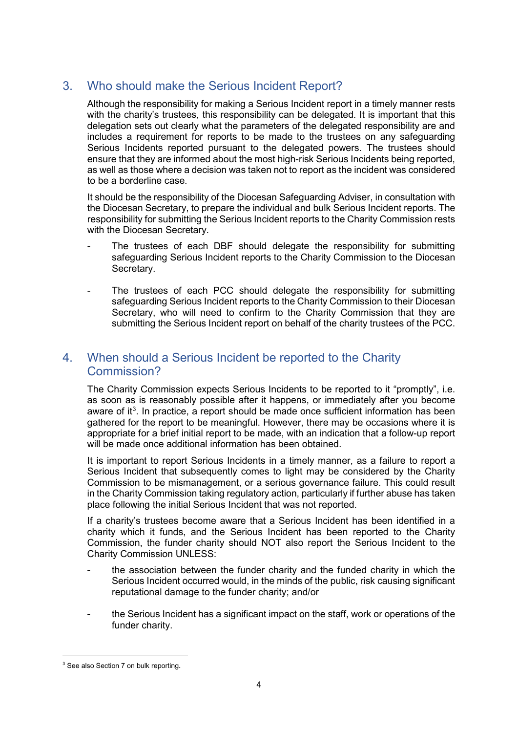# 3. Who should make the Serious Incident Report?

Although the responsibility for making a Serious Incident report in a timely manner rests with the charity's trustees, this responsibility can be delegated. It is important that this delegation sets out clearly what the parameters of the delegated responsibility are and includes a requirement for reports to be made to the trustees on any safeguarding Serious Incidents reported pursuant to the delegated powers. The trustees should ensure that they are informed about the most high-risk Serious Incidents being reported, as well as those where a decision was taken not to report as the incident was considered to be a borderline case.

It should be the responsibility of the Diocesan Safeguarding Adviser, in consultation with the Diocesan Secretary, to prepare the individual and bulk Serious Incident reports. The responsibility for submitting the Serious Incident reports to the Charity Commission rests with the Diocesan Secretary.

- The trustees of each DBF should delegate the responsibility for submitting safeguarding Serious Incident reports to the Charity Commission to the Diocesan Secretary.
- The trustees of each PCC should delegate the responsibility for submitting safeguarding Serious Incident reports to the Charity Commission to their Diocesan Secretary, who will need to confirm to the Charity Commission that they are submitting the Serious Incident report on behalf of the charity trustees of the PCC.

# 4. When should a Serious Incident be reported to the Charity Commission?

The Charity Commission expects Serious Incidents to be reported to it "promptly", i.e. as soon as is reasonably possible after it happens, or immediately after you become aware of it<sup>[3](#page-3-0)</sup>. In practice, a report should be made once sufficient information has been gathered for the report to be meaningful. However, there may be occasions where it is appropriate for a brief initial report to be made, with an indication that a follow-up report will be made once additional information has been obtained.

It is important to report Serious Incidents in a timely manner, as a failure to report a Serious Incident that subsequently comes to light may be considered by the Charity Commission to be mismanagement, or a serious governance failure. This could result in the Charity Commission taking regulatory action, particularly if further abuse has taken place following the initial Serious Incident that was not reported.

If a charity's trustees become aware that a Serious Incident has been identified in a charity which it funds, and the Serious Incident has been reported to the Charity Commission, the funder charity should NOT also report the Serious Incident to the Charity Commission UNLESS:

- the association between the funder charity and the funded charity in which the Serious Incident occurred would, in the minds of the public, risk causing significant reputational damage to the funder charity; and/or
- the Serious Incident has a significant impact on the staff, work or operations of the funder charity.

 $\overline{a}$ 

<span id="page-3-0"></span><sup>&</sup>lt;sup>3</sup> See also Section 7 on bulk reporting.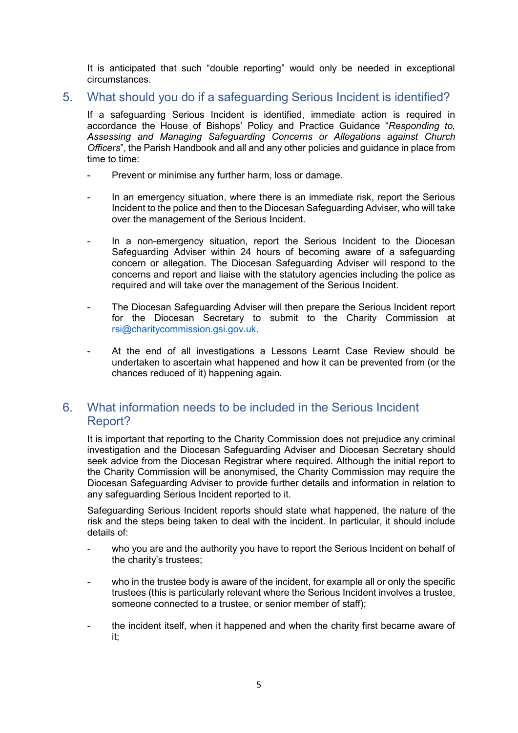It is anticipated that such "double reporting" would only be needed in exceptional circumstances.

#### 5. What should you do if a safeguarding Serious Incident is identified?

If a safeguarding Serious Incident is identified, immediate action is required in accordance the House of Bishops' Policy and Practice Guidance "*Responding to, Assessing and Managing Safeguarding Concerns or Allegations against Church Officers*", the Parish Handbook and all and any other policies and guidance in place from time to time:

- Prevent or minimise any further harm, loss or damage.
- In an emergency situation, where there is an immediate risk, report the Serious Incident to the police and then to the Diocesan Safeguarding Adviser, who will take over the management of the Serious Incident.
- In a non-emergency situation, report the Serious Incident to the Diocesan Safeguarding Adviser within 24 hours of becoming aware of a safeguarding concern or allegation. The Diocesan Safeguarding Adviser will respond to the concerns and report and liaise with the statutory agencies including the police as required and will take over the management of the Serious Incident.
- The Diocesan Safeguarding Adviser will then prepare the Serious Incident report for the Diocesan Secretary to submit to the Charity Commission at [rsi@charitycommission.gsi.gov.uk.](mailto:rsi@charitycommission.gsi.gov.uk)
- At the end of all investigations a Lessons Learnt Case Review should be undertaken to ascertain what happened and how it can be prevented from (or the chances reduced of it) happening again.

## 6. What information needs to be included in the Serious Incident Report?

It is important that reporting to the Charity Commission does not prejudice any criminal investigation and the Diocesan Safeguarding Adviser and Diocesan Secretary should seek advice from the Diocesan Registrar where required. Although the initial report to the Charity Commission will be anonymised, the Charity Commission may require the Diocesan Safeguarding Adviser to provide further details and information in relation to any safeguarding Serious Incident reported to it.

Safeguarding Serious Incident reports should state what happened, the nature of the risk and the steps being taken to deal with the incident. In particular, it should include details of:

- who you are and the authority you have to report the Serious Incident on behalf of the charity's trustees;
- who in the trustee body is aware of the incident, for example all or only the specific trustees (this is particularly relevant where the Serious Incident involves a trustee, someone connected to a trustee, or senior member of staff);
- the incident itself, when it happened and when the charity first became aware of it;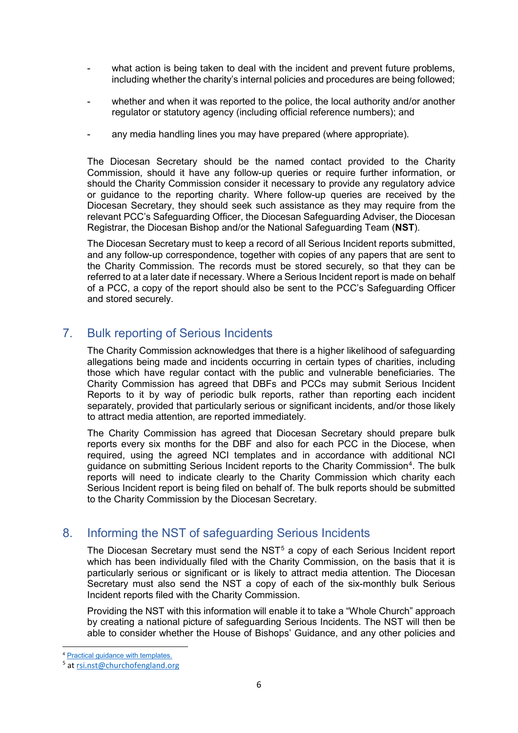- what action is being taken to deal with the incident and prevent future problems, including whether the charity's internal policies and procedures are being followed;
- whether and when it was reported to the police, the local authority and/or another regulator or statutory agency (including official reference numbers); and
- any media handling lines you may have prepared (where appropriate).

The Diocesan Secretary should be the named contact provided to the Charity Commission, should it have any follow-up queries or require further information, or should the Charity Commission consider it necessary to provide any regulatory advice or guidance to the reporting charity. Where follow-up queries are received by the Diocesan Secretary, they should seek such assistance as they may require from the relevant PCC's Safeguarding Officer, the Diocesan Safeguarding Adviser, the Diocesan Registrar, the Diocesan Bishop and/or the National Safeguarding Team (**NST**).

The Diocesan Secretary must to keep a record of all Serious Incident reports submitted, and any follow-up correspondence, together with copies of any papers that are sent to the Charity Commission. The records must be stored securely, so that they can be referred to at a later date if necessary. Where a Serious Incident report is made on behalf of a PCC, a copy of the report should also be sent to the PCC's Safeguarding Officer and stored securely.

## 7. Bulk reporting of Serious Incidents

The Charity Commission acknowledges that there is a higher likelihood of safeguarding allegations being made and incidents occurring in certain types of charities, including those which have regular contact with the public and vulnerable beneficiaries. The Charity Commission has agreed that DBFs and PCCs may submit Serious Incident Reports to it by way of periodic bulk reports, rather than reporting each incident separately, provided that particularly serious or significant incidents, and/or those likely to attract media attention, are reported immediately.

The Charity Commission has agreed that Diocesan Secretary should prepare bulk reports every six months for the DBF and also for each PCC in the Diocese, when required, using the agreed NCI templates and in accordance with additional NCI guidance on submitting Serious Incident reports to the Charity Commission<sup>[4](#page-5-0)</sup>. The bulk reports will need to indicate clearly to the Charity Commission which charity each Serious Incident report is being filed on behalf of. The bulk reports should be submitted to the Charity Commission by the Diocesan Secretary.

## 8. Informing the NST of safeguarding Serious Incidents

The Diocesan Secretary must send the NST<sup>[5](#page-5-1)</sup> a copy of each Serious Incident report which has been individually filed with the Charity Commission, on the basis that it is particularly serious or significant or is likely to attract media attention. The Diocesan Secretary must also send the NST a copy of each of the six-monthly bulk Serious Incident reports filed with the Charity Commission.

Providing the NST with this information will enable it to take a "Whole Church" approach by creating a national picture of safeguarding Serious Incidents. The NST will then be able to consider whether the House of Bishops' Guidance, and any other policies and

**.** 

<sup>&</sup>lt;sup>4</sup> [Practical guidance with templates.](https://www.parishresources.org.uk/wp-content/uploads/SIR-Safeguarding-Practical-Guidance-FINAL-1-Jan-2019.pdf)

<span id="page-5-1"></span><span id="page-5-0"></span><sup>5</sup> at [rsi.nst@churchofengland.org](mailto:rsi.nst@churchofengland.org)